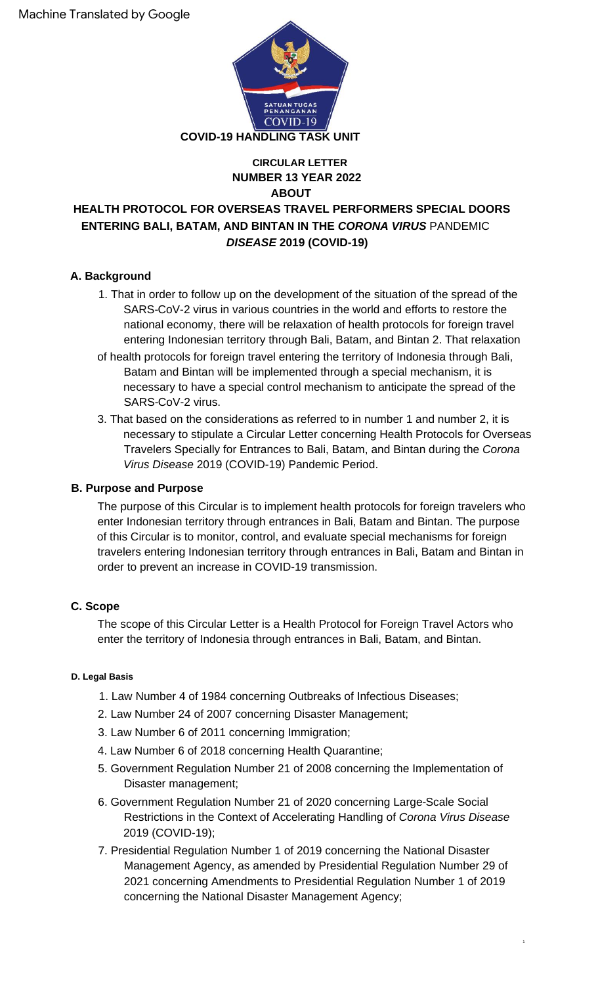

## **NUMBER 13 YEAR 2022 ABOUT CIRCULAR LETTER**

# **HEALTH PROTOCOL FOR OVERSEAS TRAVEL PERFORMERS SPECIAL DOORS ENTERING BALI, BATAM, AND BINTAN IN THE CORONA VIRUS** PANDEMIC **DISEASE 2019 (COVID-19)**

# **A. Background**

- 1. That in order to follow up on the development of the situation of the spread of the SARS-CoV-2 virus in various countries in the world and efforts to restore the national economy, there will be relaxation of health protocols for foreign travel entering Indonesian territory through Bali, Batam, and Bintan 2. That relaxation
- of health protocols for foreign travel entering the territory of Indonesia through Bali, Batam and Bintan will be implemented through a special mechanism, it is necessary to have a special control mechanism to anticipate the spread of the SARS-CoV-2 virus.
- 3. That based on the considerations as referred to in number 1 and number 2, it is necessary to stipulate a Circular Letter concerning Health Protocols for Overseas Travelers Specially for Entrances to Bali, Batam, and Bintan during the Corona Virus Disease 2019 (COVID-19) Pandemic Period.

## **B. Purpose and Purpose**

The purpose of this Circular is to implement health protocols for foreign travelers who enter Indonesian territory through entrances in Bali, Batam and Bintan. The purpose of this Circular is to monitor, control, and evaluate special mechanisms for foreign travelers entering Indonesian territory through entrances in Bali, Batam and Bintan in order to prevent an increase in COVID-19 transmission.

# **C. Scope**

The scope of this Circular Letter is a Health Protocol for Foreign Travel Actors who enter the territory of Indonesia through entrances in Bali, Batam, and Bintan.

## **D. Legal Basis**

- 1. Law Number 4 of 1984 concerning Outbreaks of Infectious Diseases;
- 2. Law Number 24 of 2007 concerning Disaster Management;
- 3. Law Number 6 of 2011 concerning Immigration;
- 4. Law Number 6 of 2018 concerning Health Quarantine;
- Disaster management; 5. Government Regulation Number 21 of 2008 concerning the Implementation of
- 6. Government Regulation Number 21 of 2020 concerning Large-Scale Social Restrictions in the Context of Accelerating Handling of Corona Virus Disease 2019 (COVID-19);
- 7. Presidential Regulation Number 1 of 2019 concerning the National Disaster Management Agency, as amended by Presidential Regulation Number 29 of 2021 concerning Amendments to Presidential Regulation Number 1 of 2019 concerning the National Disaster Management Agency;

1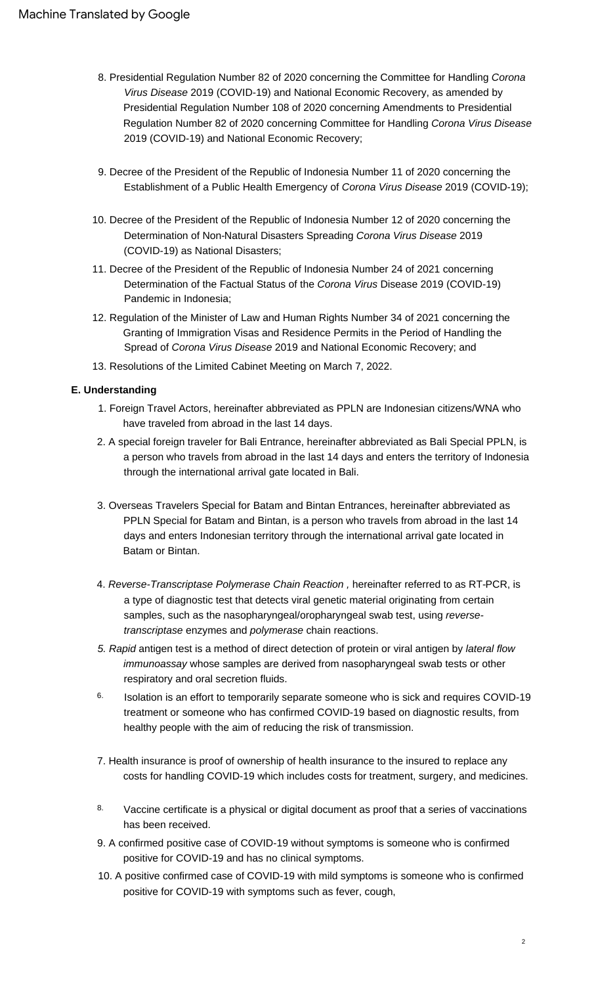- 8. Presidential Regulation Number 82 of 2020 concerning the Committee for Handling Corona Virus Disease 2019 (COVID-19) and National Economic Recovery, as amended by Presidential Regulation Number 108 of 2020 concerning Amendments to Presidential Regulation Number 82 of 2020 concerning Committee for Handling Corona Virus Disease 2019 (COVID-19) and National Economic Recovery;
- 9. Decree of the President of the Republic of Indonesia Number 11 of 2020 concerning the Establishment of a Public Health Emergency of Corona Virus Disease 2019 (COVID-19);
- 10. Decree of the President of the Republic of Indonesia Number 12 of 2020 concerning the Determination of Non-Natural Disasters Spreading Corona Virus Disease 2019 (COVID-19) as National Disasters;
- 11. Decree of the President of the Republic of Indonesia Number 24 of 2021 concerning Determination of the Factual Status of the Corona Virus Disease 2019 (COVID-19) Pandemic in Indonesia;
- 12. Regulation of the Minister of Law and Human Rights Number 34 of 2021 concerning the Granting of Immigration Visas and Residence Permits in the Period of Handling the Spread of Corona Virus Disease 2019 and National Economic Recovery; and
- 13. Resolutions of the Limited Cabinet Meeting on March 7, 2022.

#### **E. Understanding**

- 1. Foreign Travel Actors, hereinafter abbreviated as PPLN are Indonesian citizens/WNA who have traveled from abroad in the last 14 days.
- 2. A special foreign traveler for Bali Entrance, hereinafter abbreviated as Bali Special PPLN, is a person who travels from abroad in the last 14 days and enters the territory of Indonesia through the international arrival gate located in Bali.
- 3. Overseas Travelers Special for Batam and Bintan Entrances, hereinafter abbreviated as PPLN Special for Batam and Bintan, is a person who travels from abroad in the last 14 days and enters Indonesian territory through the international arrival gate located in Batam or Bintan.
- 4. Reverse-Transcriptase Polymerase Chain Reaction , hereinafter referred to as RT-PCR, is a type of diagnostic test that detects viral genetic material originating from certain samples, such as the nasopharyngeal/oropharyngeal swab test, using reversetranscriptase enzymes and polymerase chain reactions.
- 5. Rapid antigen test is a method of direct detection of protein or viral antigen by lateral flow immunoassay whose samples are derived from nasopharyngeal swab tests or other respiratory and oral secretion fluids.
- Isolation is an effort to temporarily separate someone who is sick and requires COVID-19 treatment or someone who has confirmed COVID-19 based on diagnostic results, from healthy people with the aim of reducing the risk of transmission. 6.
- 7. Health insurance is proof of ownership of health insurance to the insured to replace any costs for handling COVID-19 which includes costs for treatment, surgery, and medicines.
- Vaccine certificate is a physical or digital document as proof that a series of vaccinations has been received. 8.
- 9. A confirmed positive case of COVID-19 without symptoms is someone who is confirmed positive for COVID-19 and has no clinical symptoms.
- 10. A positive confirmed case of COVID-19 with mild symptoms is someone who is confirmed positive for COVID-19 with symptoms such as fever, cough,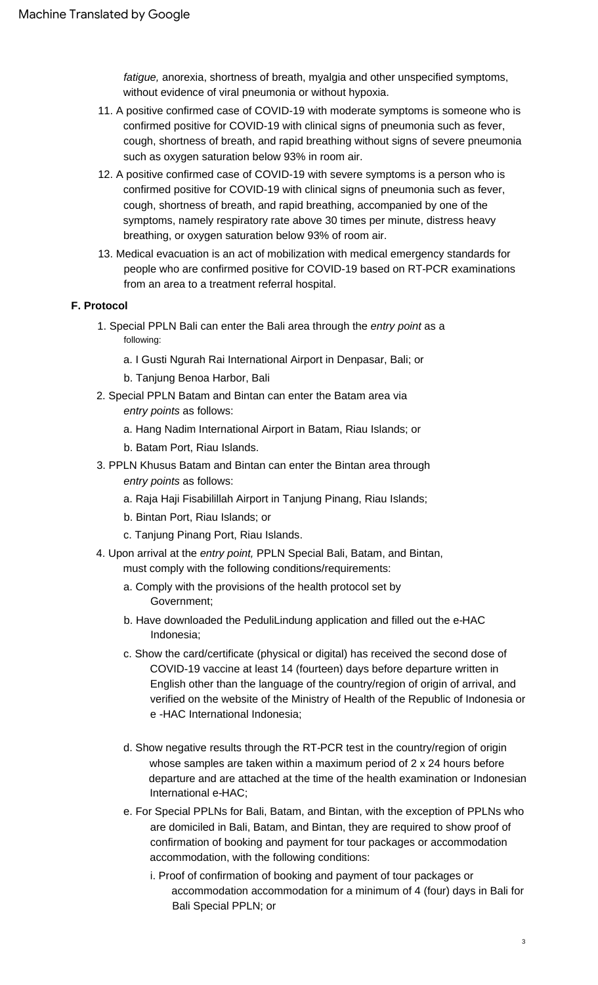fatigue, anorexia, shortness of breath, myalgia and other unspecified symptoms, without evidence of viral pneumonia or without hypoxia.

- 11. A positive confirmed case of COVID-19 with moderate symptoms is someone who is confirmed positive for COVID-19 with clinical signs of pneumonia such as fever, cough, shortness of breath, and rapid breathing without signs of severe pneumonia such as oxygen saturation below 93% in room air.
- 12. A positive confirmed case of COVID-19 with severe symptoms is a person who is confirmed positive for COVID-19 with clinical signs of pneumonia such as fever, cough, shortness of breath, and rapid breathing, accompanied by one of the symptoms, namely respiratory rate above 30 times per minute, distress heavy breathing, or oxygen saturation below 93% of room air.
- 13. Medical evacuation is an act of mobilization with medical emergency standards for people who are confirmed positive for COVID-19 based on RT-PCR examinations from an area to a treatment referral hospital.

## **F. Protocol**

- 1. Special PPLN Bali can enter the Bali area through the entry point as a following:
	- a. I Gusti Ngurah Rai International Airport in Denpasar, Bali; or
	- b. Tanjung Benoa Harbor, Bali
- 2. Special PPLN Batam and Bintan can enter the Batam area via entry points as follows:
	- a. Hang Nadim International Airport in Batam, Riau Islands; or
	- b. Batam Port, Riau Islands.
- 3. PPLN Khusus Batam and Bintan can enter the Bintan area through entry points as follows:
	- a. Raja Haji Fisabilillah Airport in Tanjung Pinang, Riau Islands;
	- b. Bintan Port, Riau Islands; or
	- c. Tanjung Pinang Port, Riau Islands.
- 4. Upon arrival at the entry point, PPLN Special Bali, Batam, and Bintan,
	- must comply with the following conditions/requirements:
	- a. Comply with the provisions of the health protocol set by Government;
	- b. Have downloaded the PeduliLindung application and filled out the e-HAC Indonesia;
	- c. Show the card/certificate (physical or digital) has received the second dose of COVID-19 vaccine at least 14 (fourteen) days before departure written in English other than the language of the country/region of origin of arrival, and verified on the website of the Ministry of Health of the Republic of Indonesia or e -HAC International Indonesia;
	- d. Show negative results through the RT-PCR test in the country/region of origin whose samples are taken within a maximum period of 2 x 24 hours before departure and are attached at the time of the health examination or Indonesian International e-HAC;
	- e. For Special PPLNs for Bali, Batam, and Bintan, with the exception of PPLNs who are domiciled in Bali, Batam, and Bintan, they are required to show proof of confirmation of booking and payment for tour packages or accommodation accommodation, with the following conditions:
		- i. Proof of confirmation of booking and payment of tour packages or accommodation accommodation for a minimum of 4 (four) days in Bali for Bali Special PPLN; or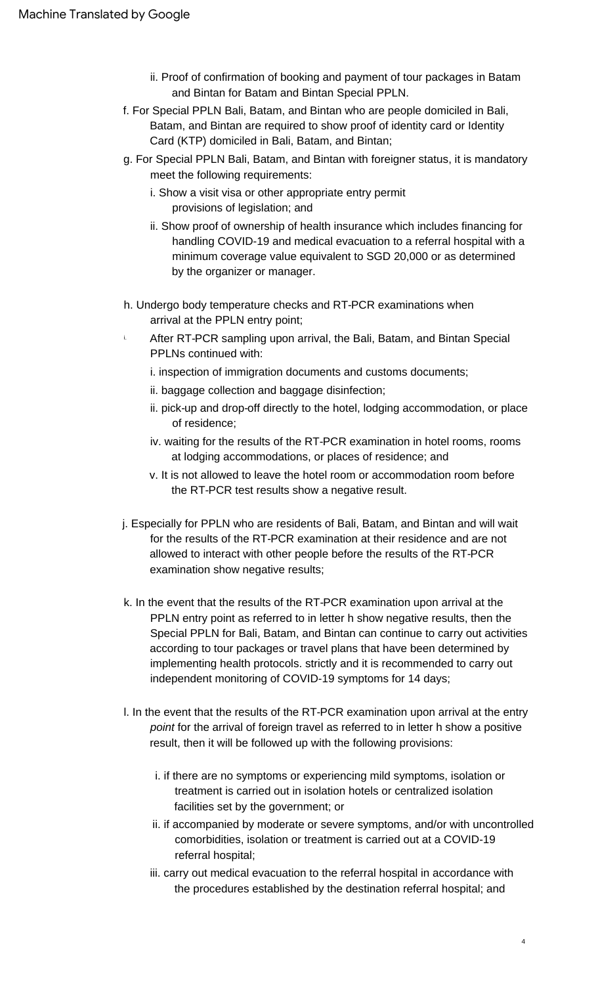- ii. Proof of confirmation of booking and payment of tour packages in Batam and Bintan for Batam and Bintan Special PPLN.
- f. For Special PPLN Bali, Batam, and Bintan who are people domiciled in Bali, Batam, and Bintan are required to show proof of identity card or Identity Card (KTP) domiciled in Bali, Batam, and Bintan;
- g. For Special PPLN Bali, Batam, and Bintan with foreigner status, it is mandatory meet the following requirements:
	- i. Show a visit visa or other appropriate entry permit provisions of legislation; and
	- ii. Show proof of ownership of health insurance which includes financing for handling COVID-19 and medical evacuation to a referral hospital with a minimum coverage value equivalent to SGD 20,000 or as determined by the organizer or manager.
- h. Undergo body temperature checks and RT-PCR examinations when arrival at the PPLN entry point;
- i. After RT-PCR sampling upon arrival, the Bali, Batam, and Bintan Special PPLNs continued with:
	- i. inspection of immigration documents and customs documents;
	- ii. baggage collection and baggage disinfection;
	- ii. pick-up and drop-off directly to the hotel, lodging accommodation, or place of residence;
	- iv. waiting for the results of the RT-PCR examination in hotel rooms, rooms at lodging accommodations, or places of residence; and
	- v. It is not allowed to leave the hotel room or accommodation room before the RT-PCR test results show a negative result.
- j. Especially for PPLN who are residents of Bali, Batam, and Bintan and will wait for the results of the RT-PCR examination at their residence and are not allowed to interact with other people before the results of the RT-PCR examination show negative results;
- k. In the event that the results of the RT-PCR examination upon arrival at the PPLN entry point as referred to in letter h show negative results, then the Special PPLN for Bali, Batam, and Bintan can continue to carry out activities according to tour packages or travel plans that have been determined by implementing health protocols. strictly and it is recommended to carry out independent monitoring of COVID-19 symptoms for 14 days;
- l. In the event that the results of the RT-PCR examination upon arrival at the entry point for the arrival of foreign travel as referred to in letter h show a positive result, then it will be followed up with the following provisions:
	- i. if there are no symptoms or experiencing mild symptoms, isolation or treatment is carried out in isolation hotels or centralized isolation facilities set by the government; or
	- ii. if accompanied by moderate or severe symptoms, and/or with uncontrolled comorbidities, isolation or treatment is carried out at a COVID-19 referral hospital;
	- iii. carry out medical evacuation to the referral hospital in accordance with the procedures established by the destination referral hospital; and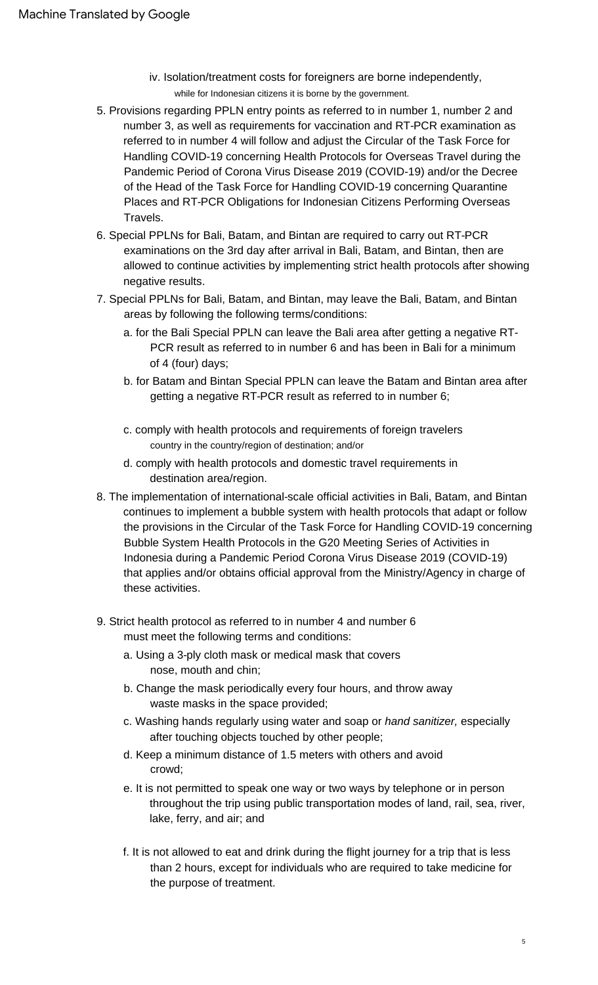- iv. Isolation/treatment costs for foreigners are borne independently, while for Indonesian citizens it is borne by the government.
- 5. Provisions regarding PPLN entry points as referred to in number 1, number 2 and number 3, as well as requirements for vaccination and RT-PCR examination as referred to in number 4 will follow and adjust the Circular of the Task Force for Handling COVID-19 concerning Health Protocols for Overseas Travel during the Pandemic Period of Corona Virus Disease 2019 (COVID-19) and/or the Decree of the Head of the Task Force for Handling COVID-19 concerning Quarantine Places and RT-PCR Obligations for Indonesian Citizens Performing Overseas Travels.
- 6. Special PPLNs for Bali, Batam, and Bintan are required to carry out RT-PCR examinations on the 3rd day after arrival in Bali, Batam, and Bintan, then are allowed to continue activities by implementing strict health protocols after showing negative results.
- 7. Special PPLNs for Bali, Batam, and Bintan, may leave the Bali, Batam, and Bintan areas by following the following terms/conditions:
	- a. for the Bali Special PPLN can leave the Bali area after getting a negative RT-PCR result as referred to in number 6 and has been in Bali for a minimum of 4 (four) days;
	- b. for Batam and Bintan Special PPLN can leave the Batam and Bintan area after getting a negative RT-PCR result as referred to in number 6;
	- c. comply with health protocols and requirements of foreign travelers country in the country/region of destination; and/or
	- d. comply with health protocols and domestic travel requirements in destination area/region.
- 8. The implementation of international-scale official activities in Bali, Batam, and Bintan continues to implement a bubble system with health protocols that adapt or follow the provisions in the Circular of the Task Force for Handling COVID-19 concerning Bubble System Health Protocols in the G20 Meeting Series of Activities in Indonesia during a Pandemic Period Corona Virus Disease 2019 (COVID-19) that applies and/or obtains official approval from the Ministry/Agency in charge of these activities.
- 9. Strict health protocol as referred to in number 4 and number 6 must meet the following terms and conditions:
	- a. Using a 3-ply cloth mask or medical mask that covers nose, mouth and chin;
	- b. Change the mask periodically every four hours, and throw away waste masks in the space provided;
	- c. Washing hands regularly using water and soap or hand sanitizer, especially after touching objects touched by other people;
	- crowd; d. Keep a minimum distance of 1.5 meters with others and avoid
	- e. It is not permitted to speak one way or two ways by telephone or in person throughout the trip using public transportation modes of land, rail, sea, river, lake, ferry, and air; and
	- f. It is not allowed to eat and drink during the flight journey for a trip that is less than 2 hours, except for individuals who are required to take medicine for the purpose of treatment.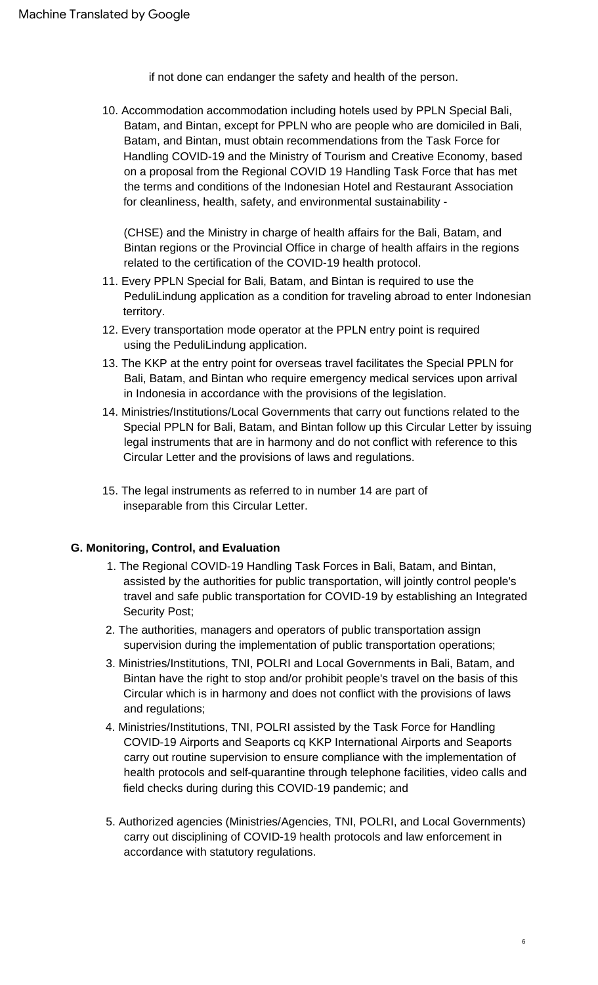if not done can endanger the safety and health of the person.

10. Accommodation accommodation including hotels used by PPLN Special Bali, Batam, and Bintan, except for PPLN who are people who are domiciled in Bali, Batam, and Bintan, must obtain recommendations from the Task Force for Handling COVID-19 and the Ministry of Tourism and Creative Economy, based on a proposal from the Regional COVID 19 Handling Task Force that has met the terms and conditions of the Indonesian Hotel and Restaurant Association for cleanliness, health, safety, and environmental sustainability -

(CHSE) and the Ministry in charge of health affairs for the Bali, Batam, and Bintan regions or the Provincial Office in charge of health affairs in the regions related to the certification of the COVID-19 health protocol.

- 11. Every PPLN Special for Bali, Batam, and Bintan is required to use the PeduliLindung application as a condition for traveling abroad to enter Indonesian territory.
- 12. Every transportation mode operator at the PPLN entry point is required using the PeduliLindung application.
- 13. The KKP at the entry point for overseas travel facilitates the Special PPLN for Bali, Batam, and Bintan who require emergency medical services upon arrival in Indonesia in accordance with the provisions of the legislation.
- 14. Ministries/Institutions/Local Governments that carry out functions related to the Special PPLN for Bali, Batam, and Bintan follow up this Circular Letter by issuing legal instruments that are in harmony and do not conflict with reference to this Circular Letter and the provisions of laws and regulations.
- 15. The legal instruments as referred to in number 14 are part of inseparable from this Circular Letter.

## **G. Monitoring, Control, and Evaluation**

- 1. The Regional COVID-19 Handling Task Forces in Bali, Batam, and Bintan, assisted by the authorities for public transportation, will jointly control people's travel and safe public transportation for COVID-19 by establishing an Integrated Security Post;
- 2. The authorities, managers and operators of public transportation assign supervision during the implementation of public transportation operations;
- 3. Ministries/Institutions, TNI, POLRI and Local Governments in Bali, Batam, and Bintan have the right to stop and/or prohibit people's travel on the basis of this Circular which is in harmony and does not conflict with the provisions of laws and regulations;
- 4. Ministries/Institutions, TNI, POLRI assisted by the Task Force for Handling COVID-19 Airports and Seaports cq KKP International Airports and Seaports carry out routine supervision to ensure compliance with the implementation of health protocols and self-quarantine through telephone facilities, video calls and field checks during during this COVID-19 pandemic; and
- 5. Authorized agencies (Ministries/Agencies, TNI, POLRI, and Local Governments) carry out disciplining of COVID-19 health protocols and law enforcement in accordance with statutory regulations.